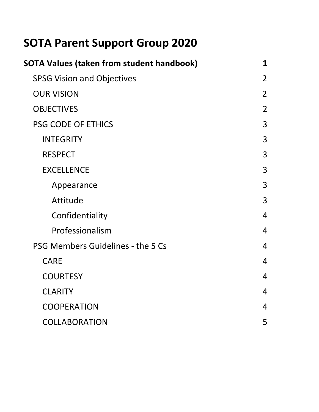# **SOTA Parent Support Group 2020**

| SOTA Values (taken from student handbook) | 1              |
|-------------------------------------------|----------------|
| <b>SPSG Vision and Objectives</b>         | $\overline{2}$ |
| <b>OUR VISION</b>                         | $\overline{2}$ |
| <b>OBJECTIVES</b>                         | $\overline{2}$ |
| PSG CODE OF ETHICS                        | 3              |
| <b>INTEGRITY</b>                          | 3              |
| <b>RESPECT</b>                            | 3              |
| <b>EXCELLENCE</b>                         | 3              |
| Appearance                                | 3              |
| Attitude                                  | 3              |
| Confidentiality                           | $\overline{4}$ |
| Professionalism                           | $\overline{4}$ |
| PSG Members Guidelines - the 5 Cs         | 4              |
| <b>CARE</b>                               | 4              |
| <b>COURTESY</b>                           | 4              |
| <b>CLARITY</b>                            | $\overline{4}$ |
| <b>COOPERATION</b>                        | $\overline{4}$ |
| <b>COLLABORATION</b>                      | 5              |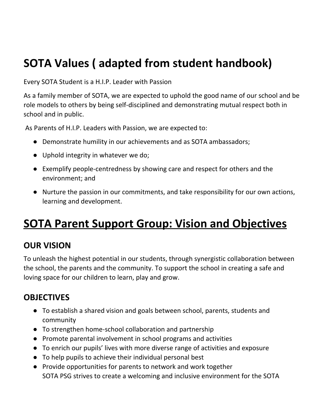# **SOTA Values ( adapted from student handbook)**

Every SOTA Student is a H.I.P. Leader with Passion

As a family member of SOTA, we are expected to uphold the good name of our school and be role models to others by being self-disciplined and demonstrating mutual respect both in school and in public.

As Parents of H.I.P. Leaders with Passion, we are expected to:

- Demonstrate humility in our achievements and as SOTA ambassadors;
- Uphold integrity in whatever we do;
- Exemplify people-centredness by showing care and respect for others and the environment; and
- Nurture the passion in our commitments, and take responsibility for our own actions, learning and development.

# **SOTA Parent Support Group: Vision and Objectives**

# **OUR VISION**

To unleash the highest potential in our students, through synergistic collaboration between the school, the parents and the community. To support the school in creating a safe and loving space for our children to learn, play and grow.

# **OBJECTIVES**

- To establish a shared vision and goals between school, parents, students and community
- To strengthen home-school collaboration and partnership
- Promote parental involvement in school programs and activities
- To enrich our pupils' lives with more diverse range of activities and exposure
- To help pupils to achieve their individual personal best
- Provide opportunities for parents to network and work together SOTA PSG strives to create a welcoming and inclusive environment for the SOTA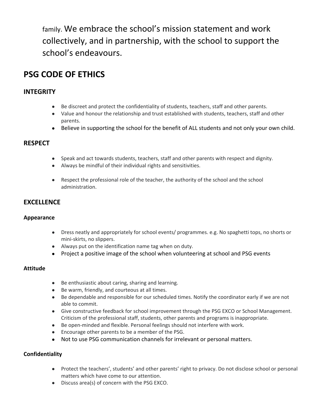family. We embrace the school's mission statement and work collectively, and in partnership, with the school to support the school's endeavours.

# <span id="page-2-0"></span>**PSG CODE OF ETHICS**

## <span id="page-2-1"></span>**INTEGRITY**

- Be discreet and protect the confidentiality of students, teachers, staff and other parents.
- Value and honour the relationship and trust established with students, teachers, staff and other parents.
- Believe in supporting the school for the benefit of ALL students and not only your own child.

### <span id="page-2-2"></span>**RESPECT**

- Speak and act towards students, teachers, staff and other parents with respect and dignity.
- Always be mindful of their individual rights and sensitivities.
- Respect the professional role of the teacher, the authority of the school and the school administration.

### <span id="page-2-3"></span>**EXCELLENCE**

#### <span id="page-2-4"></span>**Appearance**

- Dress neatly and appropriately for school events/ programmes. e.g. No spaghetti tops, no shorts or mini-skirts, no slippers.
- Always put on the identification name tag when on duty.
- Project a positive image of the school when volunteering at school and PSG events

#### <span id="page-2-5"></span>**Attitude**

- Be enthusiastic about caring, sharing and learning.
- Be warm, friendly, and courteous at all times.
- Be dependable and responsible for our scheduled times. Notify the coordinator early if we are not able to commit.
- Give constructive feedback for school improvement through the PSG EXCO or School Management. Criticism of the professional staff, students, other parents and programs is inappropriate.
- Be open-minded and flexible. Personal feelings should not interfere with work.
- Encourage other parents to be a member of the PSG.
- Not to use PSG communication channels for irrelevant or personal matters.

#### <span id="page-2-6"></span>**Confidentiality**

- Protect the teachers', students' and other parents' right to privacy. Do not disclose school or personal matters which have come to our attention.
- Discuss area(s) of concern with the PSG EXCO.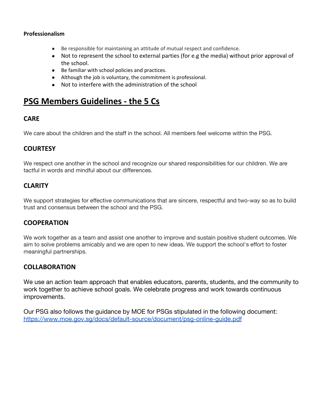#### <span id="page-3-0"></span>**Professionalism**

- Be responsible for maintaining an attitude of mutual respect and confidence.
- Not to represent the school to external parties (for e.g the media) without prior approval of the school.
- Be familiar with school policies and practices.
- Although the job is voluntary, the commitment is professional.
- Not to interfere with the administration of the school

## **PSG Members Guidelines - the 5 Cs**

### <span id="page-3-1"></span>**CARE**

We care about the children and the staff in the school. All members feel welcome within the PSG.

## <span id="page-3-2"></span>**COURTESY**

We respect one another in the school and recognize our shared responsibilities for our children. We are tactful in words and mindful about our differences.

### <span id="page-3-3"></span>**CLARITY**

We support strategies for effective communications that are sincere, respectful and two-way so as to build trust and consensus between the school and the PSG.

### <span id="page-3-4"></span>**COOPERATION**

We work together as a team and assist one another to improve and sustain positive student outcomes. We aim to solve problems amicably and we are open to new ideas. We support the school's effort to foster meaningful partnerships.

### <span id="page-3-5"></span>**COLLABORATION**

We use an action team approach that enables educators, parents, students, and the community to work together to achieve school goals. We celebrate progress and work towards continuous improvements.

Our PSG also follows the guidance by MOE for PSGs stipulated in the following document: <https://www.moe.gov.sg/docs/default-source/document/psg-online-guide.pdf>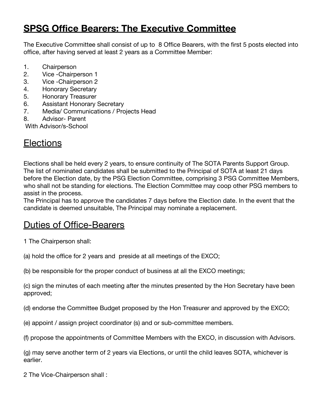# **SPSG Office Bearers: The Executive Committee**

The Executive Committee shall consist of up to 8 Office Bearers, with the first 5 posts elected into office, after having served at least 2 years as a Committee Member:

- 1. Chairperson
- 2. Vice -Chairperson 1
- 3. Vice -Chairperson 2
- 4. Honorary Secretary
- 5. Honorary Treasurer
- 6. Assistant Honorary Secretary
- 7. Media/ Communications / Projects Head
- 8. Advisor- Parent

With Advisor/s-School

# **Elections**

Elections shall be held every 2 years, to ensure continuity of The SOTA Parents Support Group. The list of nominated candidates shall be submitted to the Principal of SOTA at least 21 days before the Election date, by the PSG Election Committee, comprising 3 PSG Committee Members, who shall not be standing for elections. The Election Committee may coop other PSG members to assist in the process.

The Principal has to approve the candidates 7 days before the Election date. In the event that the candidate is deemed unsuitable, The Principal may nominate a replacement.

# Duties of Office-Bearers

1 The Chairperson shall:

(a) hold the office for 2 years and preside at all meetings of the EXCO;

(b) be responsible for the proper conduct of business at all the EXCO meetings;

(c) sign the minutes of each meeting after the minutes presented by the Hon Secretary have been approved;

(d) endorse the Committee Budget proposed by the Hon Treasurer and approved by the EXCO;

(e) appoint / assign project coordinator (s) and or sub-committee members.

(f) propose the appointments of Committee Members with the EXCO, in discussion with Advisors.

(g) may serve another term of 2 years via Elections, or until the child leaves SOTA, whichever is earlier.

2 The Vice-Chairperson shall :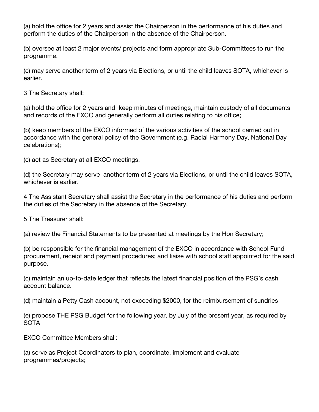(a) hold the office for 2 years and assist the Chairperson in the performance of his duties and perform the duties of the Chairperson in the absence of the Chairperson.

(b) oversee at least 2 major events/ projects and form appropriate Sub-Committees to run the programme.

(c) may serve another term of 2 years via Elections, or until the child leaves SOTA, whichever is earlier.

3 The Secretary shall:

(a) hold the office for 2 years and keep minutes of meetings, maintain custody of all documents and records of the EXCO and generally perform all duties relating to his office;

(b) keep members of the EXCO informed of the various activities of the school carried out in accordance with the general policy of the Government (e.g. Racial Harmony Day, National Day celebrations);

(c) act as Secretary at all EXCO meetings.

(d) the Secretary may serve another term of 2 years via Elections, or until the child leaves SOTA, whichever is earlier.

4 The Assistant Secretary shall assist the Secretary in the performance of his duties and perform the duties of the Secretary in the absence of the Secretary.

5 The Treasurer shall:

(a) review the Financial Statements to be presented at meetings by the Hon Secretary;

(b) be responsible for the financial management of the EXCO in accordance with School Fund procurement, receipt and payment procedures; and liaise with school staff appointed for the said purpose.

(c) maintain an up-to-date ledger that reflects the latest financial position of the PSG's cash account balance.

(d) maintain a Petty Cash account, not exceeding \$2000, for the reimbursement of sundries

(e) propose THE PSG Budget for the following year, by July of the present year, as required by SOTA

EXCO Committee Members shall:

(a) serve as Project Coordinators to plan, coordinate, implement and evaluate programmes/projects;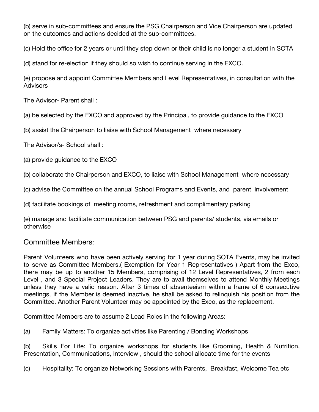(b) serve in sub-committees and ensure the PSG Chairperson and Vice Chairperson are updated on the outcomes and actions decided at the sub-committees.

(c) Hold the office for 2 years or until they step down or their child is no longer a student in SOTA

(d) stand for re-election if they should so wish to continue serving in the EXCO.

(e) propose and appoint Committee Members and Level Representatives, in consultation with the **Advisors** 

The Advisor- Parent shall :

(a) be selected by the EXCO and approved by the Principal, to provide guidance to the EXCO

(b) assist the Chairperson to liaise with School Management where necessary

The Advisor/s- School shall :

(a) provide guidance to the EXCO

(b) collaborate the Chairperson and EXCO, to liaise with School Management where necessary

(c) advise the Committee on the annual School Programs and Events, and parent involvement

(d) facilitate bookings of meeting rooms, refreshment and complimentary parking

(e) manage and facilitate communication between PSG and parents/ students, via emails or otherwise

## Committee Members:

Parent Volunteers who have been actively serving for 1 year during SOTA Events, may be invited to serve as Committee Members.( Exemption for Year 1 Representatives ) Apart from the Exco, there may be up to another 15 Members, comprising of 12 Level Representatives, 2 from each Level , and 3 Special Project Leaders. They are to avail themselves to attend Monthly Meetings unless they have a valid reason. After 3 times of absenteeism within a frame of 6 consecutive meetings, if the Member is deemed inactive, he shall be asked to relinquish his position from the Committee. Another Parent Volunteer may be appointed by the Exco, as the replacement.

Committee Members are to assume 2 Lead Roles in the following Areas:

(a) Family Matters: To organize activities like Parenting / Bonding Workshops

(b) Skills For Life: To organize workshops for students like Grooming, Health & Nutrition, Presentation, Communications, Interview , should the school allocate time for the events

(c) Hospitality: To organize Networking Sessions with Parents, Breakfast, Welcome Tea etc